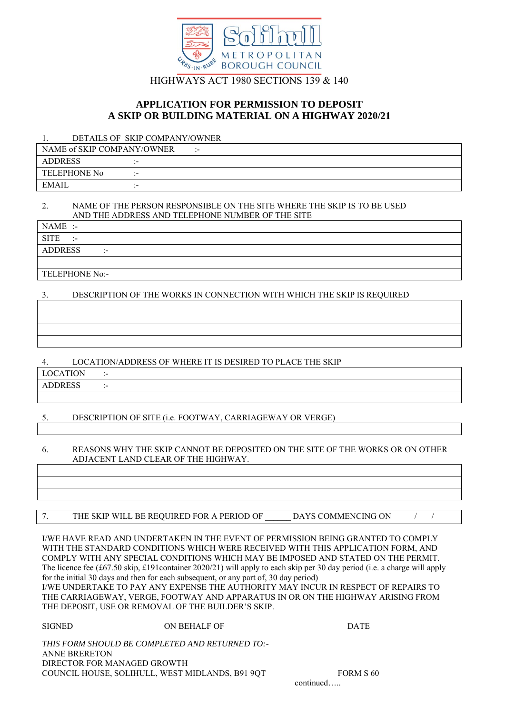

# HIGHWAYS ACT 1980 SECTIONS 139 & 140

# **APPLICATION FOR PERMISSION TO DEPOSIT A SKIP OR BUILDING MATERIAL ON A HIGHWAY 2020/21**

### 1. DETAILS OF SKIP COMPANY/OWNER

| NAME of SKIP COMPANY/OWNER |  |  |
|----------------------------|--|--|
| <b>ADDRESS</b>             |  |  |
| TELEPHONE No               |  |  |
| EMAII                      |  |  |

### 2. NAME OF THE PERSON RESPONSIBLE ON THE SITE WHERE THE SKIP IS TO BE USED AND THE ADDRESS AND TELEPHONE NUMBER OF THE SITE

NAME :-

 $SITE$  :-

ADDRESS :-

TELEPHONE No:-

# 3. DESCRIPTION OF THE WORKS IN CONNECTION WITH WHICH THE SKIP IS REQUIRED

4. LOCATION/ADDRESS OF WHERE IT IS DESIRED TO PLACE THE SKIP

LOCATION :-

ADDRESS :-

# 5. DESCRIPTION OF SITE (i.e. FOOTWAY, CARRIAGEWAY OR VERGE)

6. REASONS WHY THE SKIP CANNOT BE DEPOSITED ON THE SITE OF THE WORKS OR ON OTHER ADJACENT LAND CLEAR OF THE HIGHWAY.

7. THE SKIP WILL BE REQUIRED FOR A PERIOD OF DAYS COMMENCING ON  $\left/$ 

I/WE HAVE READ AND UNDERTAKEN IN THE EVENT OF PERMISSION BEING GRANTED TO COMPLY WITH THE STANDARD CONDITIONS WHICH WERE RECEIVED WITH THIS APPLICATION FORM, AND COMPLY WITH ANY SPECIAL CONDITIONS WHICH MAY BE IMPOSED AND STATED ON THE PERMIT. The licence fee (£67.50 skip, £191container 2020/21) will apply to each skip per 30 day period (i.e. a charge will apply for the initial 30 days and then for each subsequent, or any part of, 30 day period) I/WE UNDERTAKE TO PAY ANY EXPENSE THE AUTHORITY MAY INCUR IN RESPECT OF REPAIRS TO

THE CARRIAGEWAY, VERGE, FOOTWAY AND APPARATUS IN OR ON THE HIGHWAY ARISING FROM THE DEPOSIT, USE OR REMOVAL OF THE BUILDER'S SKIP.

SIGNED ON BEHALF OF DATE

*THIS FORM SHOULD BE COMPLETED AND RETURNED TO:-*  ANNE BRERETON DIRECTOR FOR MANAGED GROWTH COUNCIL HOUSE, SOLIHULL, WEST MIDLANDS, B91 9OT FORM S 60

continued…..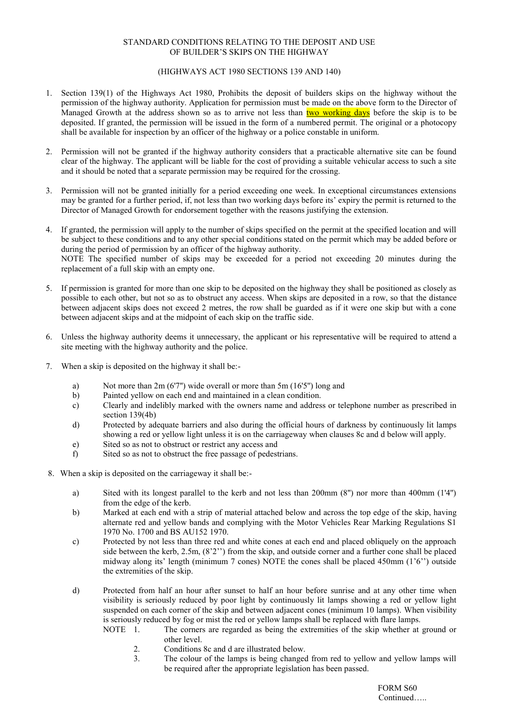### STANDARD CONDITIONS RELATING TO THE DEPOSIT AND USE OF BUILDER'S SKIPS ON THE HIGHWAY

#### (HIGHWAYS ACT 1980 SECTIONS 139 AND 140)

- 1. Section 139(1) of the Highways Act 1980, Prohibits the deposit of builders skips on the highway without the permission of the highway authority. Application for permission must be made on the above form to the Director of Managed Growth at the address shown so as to arrive not less than two working days before the skip is to be deposited. If granted, the permission will be issued in the form of a numbered permit. The original or a photocopy shall be available for inspection by an officer of the highway or a police constable in uniform.
- 2. Permission will not be granted if the highway authority considers that a practicable alternative site can be found clear of the highway. The applicant will be liable for the cost of providing a suitable vehicular access to such a site and it should be noted that a separate permission may be required for the crossing.
- 3. Permission will not be granted initially for a period exceeding one week. In exceptional circumstances extensions may be granted for a further period, if, not less than two working days before its' expiry the permit is returned to the Director of Managed Growth for endorsement together with the reasons justifying the extension.
- 4. If granted, the permission will apply to the number of skips specified on the permit at the specified location and will be subject to these conditions and to any other special conditions stated on the permit which may be added before or during the period of permission by an officer of the highway authority. NOTE The specified number of skips may be exceeded for a period not exceeding 20 minutes during the replacement of a full skip with an empty one.
- 5. If permission is granted for more than one skip to be deposited on the highway they shall be positioned as closely as possible to each other, but not so as to obstruct any access. When skips are deposited in a row, so that the distance between adjacent skips does not exceed 2 metres, the row shall be guarded as if it were one skip but with a cone between adjacent skips and at the midpoint of each skip on the traffic side.
- 6. Unless the highway authority deems it unnecessary, the applicant or his representative will be required to attend a site meeting with the highway authority and the police.
- 7. When a skip is deposited on the highway it shall be:
	- a) Not more than  $2m (6'7'')$  wide overall or more than  $5m (16'5'')$  long and b) Painted vellow on each end and maintained in a clean condition.
	- b) Painted yellow on each end and maintained in a clean condition.
	- c) Clearly and indelibly marked with the owners name and address or telephone number as prescribed in section 139(4b)
	- d) Protected by adequate barriers and also during the official hours of darkness by continuously lit lamps showing a red or yellow light unless it is on the carriageway when clauses 8c and d below will apply.
	- e) Sited so as not to obstruct or restrict any access and
	- f) Sited so as not to obstruct the free passage of pedestrians.
- 8. When a skip is deposited on the carriageway it shall be:
	- a) Sited with its longest parallel to the kerb and not less than 200mm (8'') nor more than 400mm (1'4'') from the edge of the kerb.
	- b) Marked at each end with a strip of material attached below and across the top edge of the skip, having alternate red and yellow bands and complying with the Motor Vehicles Rear Marking Regulations S1 1970 No. 1700 and BS AU152 1970.
	- c) Protected by not less than three red and white cones at each end and placed obliquely on the approach side between the kerb,  $2.5m$ ,  $(8'2'')$  from the skip, and outside corner and a further cone shall be placed midway along its' length (minimum 7 cones) NOTE the cones shall be placed 450mm (1'6'') outside the extremities of the skip.
	- d) Protected from half an hour after sunset to half an hour before sunrise and at any other time when visibility is seriously reduced by poor light by continuously lit lamps showing a red or yellow light suspended on each corner of the skip and between adjacent cones (minimum 10 lamps). When visibility is seriously reduced by fog or mist the red or yellow lamps shall be replaced with flare lamps.
		- NOTE 1. The corners are regarded as being the extremities of the skip whether at ground or other level.
			- 2. Conditions 8c and d are illustrated below.
			- 3. The colour of the lamps is being changed from red to yellow and yellow lamps will be required after the appropriate legislation has been passed.

FORM S60 Continued…..